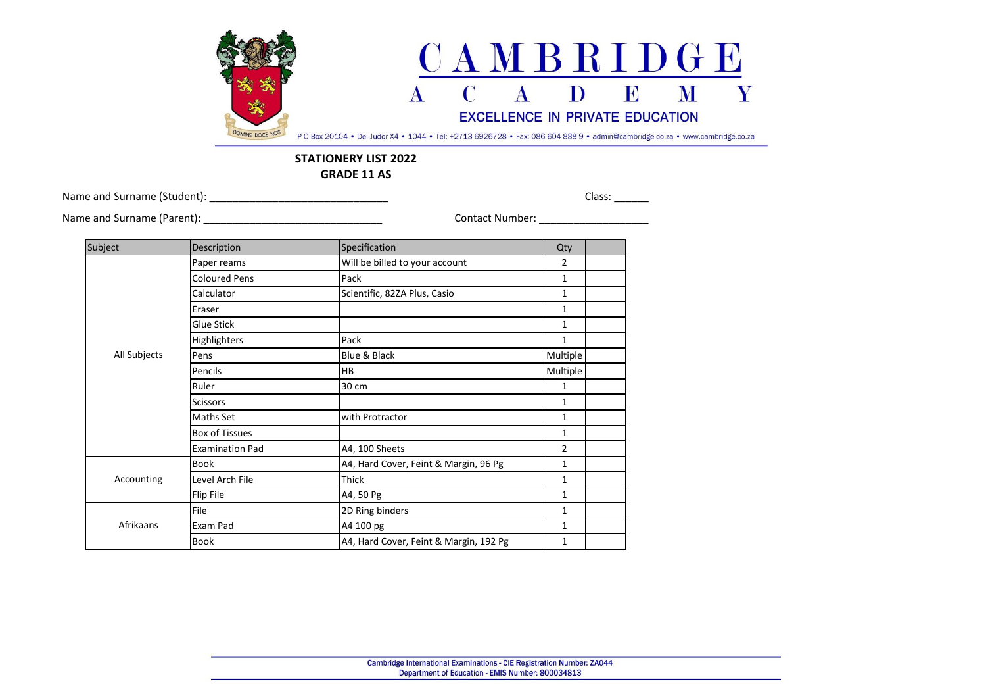

## **STATIONERY LIST 2022 GRADE 11 AS**

Name and Surname (Student): \_\_\_\_\_\_\_\_\_\_\_\_\_\_\_\_\_\_\_\_\_\_\_\_\_\_\_\_\_\_\_ Class: \_\_\_\_\_\_

Name and Surname (Parent): \_\_\_\_\_\_\_\_\_\_\_\_\_\_\_\_\_\_\_\_\_\_\_\_\_\_\_\_\_\_\_ Contact Number: \_\_\_\_\_\_\_\_\_\_\_\_\_\_\_\_\_\_\_

| Subject      | Description            | Specification                          | Qty          |  |
|--------------|------------------------|----------------------------------------|--------------|--|
| All Subjects | Paper reams            | Will be billed to your account         | 2            |  |
|              | <b>Coloured Pens</b>   | Pack                                   | $\mathbf{1}$ |  |
|              | Calculator             | Scientific, 82ZA Plus, Casio           | 1            |  |
|              | Eraser                 |                                        | 1            |  |
|              | Glue Stick             |                                        | 1            |  |
|              | Highlighters           | Pack                                   | 1            |  |
|              | Pens                   | Blue & Black                           | Multiple     |  |
|              | Pencils                | HB                                     | Multiple     |  |
|              | Ruler                  | 30 cm                                  | 1            |  |
|              | <b>Scissors</b>        |                                        | 1            |  |
|              | Maths Set              | with Protractor                        | 1            |  |
|              | Box of Tissues         |                                        | $\mathbf{1}$ |  |
|              | <b>Examination Pad</b> | A4, 100 Sheets                         | 2            |  |
| Accounting   | Book                   | A4, Hard Cover, Feint & Margin, 96 Pg  | 1            |  |
|              | Level Arch File        | Thick                                  | 1            |  |
|              | Flip File              | A4, 50 Pg                              | 1            |  |
| Afrikaans    | File                   | 2D Ring binders                        | 1            |  |
|              | Exam Pad               | A4 100 pg                              | 1            |  |
|              | Book                   | A4, Hard Cover, Feint & Margin, 192 Pg | 1            |  |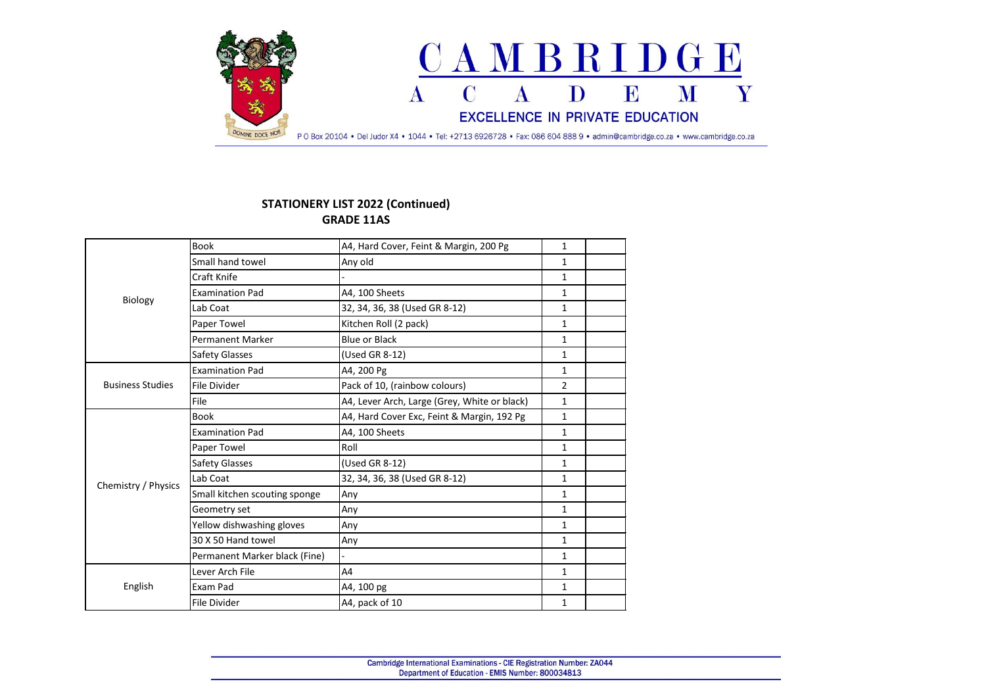

## **STATIONERY LIST 2022 (Continued) GRADE 11AS**

| Biology                 | <b>Book</b>                   | A4, Hard Cover, Feint & Margin, 200 Pg       | $\mathbf{1}$   |  |
|-------------------------|-------------------------------|----------------------------------------------|----------------|--|
|                         | Small hand towel              | Any old                                      | $\mathbf{1}$   |  |
|                         | Craft Knife                   |                                              | $\mathbf{1}$   |  |
|                         | <b>Examination Pad</b>        | A4, 100 Sheets                               | $\mathbf{1}$   |  |
|                         | Lab Coat                      | 32, 34, 36, 38 (Used GR 8-12)                | $\mathbf{1}$   |  |
|                         | Paper Towel                   | Kitchen Roll (2 pack)                        | $\mathbf{1}$   |  |
|                         | <b>Permanent Marker</b>       | <b>Blue or Black</b>                         | $\mathbf{1}$   |  |
|                         | Safety Glasses                | (Used GR 8-12)                               | $\mathbf{1}$   |  |
|                         | <b>Examination Pad</b>        | A4, 200 Pg                                   | $\mathbf{1}$   |  |
| <b>Business Studies</b> | <b>File Divider</b>           | Pack of 10, (rainbow colours)                | $\overline{2}$ |  |
|                         | File                          | A4, Lever Arch, Large (Grey, White or black) | $\mathbf{1}$   |  |
|                         | <b>Book</b>                   | A4, Hard Cover Exc, Feint & Margin, 192 Pg   | $\mathbf{1}$   |  |
|                         | <b>Examination Pad</b>        | A4, 100 Sheets                               | $\mathbf{1}$   |  |
|                         | Paper Towel                   | Roll                                         | $\mathbf{1}$   |  |
|                         | Safety Glasses                | (Used GR 8-12)                               | $\mathbf{1}$   |  |
| Chemistry / Physics     | Lab Coat                      | 32, 34, 36, 38 (Used GR 8-12)                | $\mathbf{1}$   |  |
|                         | Small kitchen scouting sponge | Any                                          | $\mathbf{1}$   |  |
|                         | Geometry set                  | Any                                          | $\mathbf{1}$   |  |
|                         | Yellow dishwashing gloves     | Any                                          | $\mathbf{1}$   |  |
|                         | 30 X 50 Hand towel            | Any                                          | $\mathbf{1}$   |  |
|                         | Permanent Marker black (Fine) |                                              | $\mathbf{1}$   |  |
| English                 | Lever Arch File               | A4                                           | $\mathbf{1}$   |  |
|                         | Exam Pad                      | A4, 100 pg                                   | $\mathbf{1}$   |  |
|                         | <b>File Divider</b>           | A4, pack of 10                               | $\mathbf{1}$   |  |
|                         |                               |                                              |                |  |